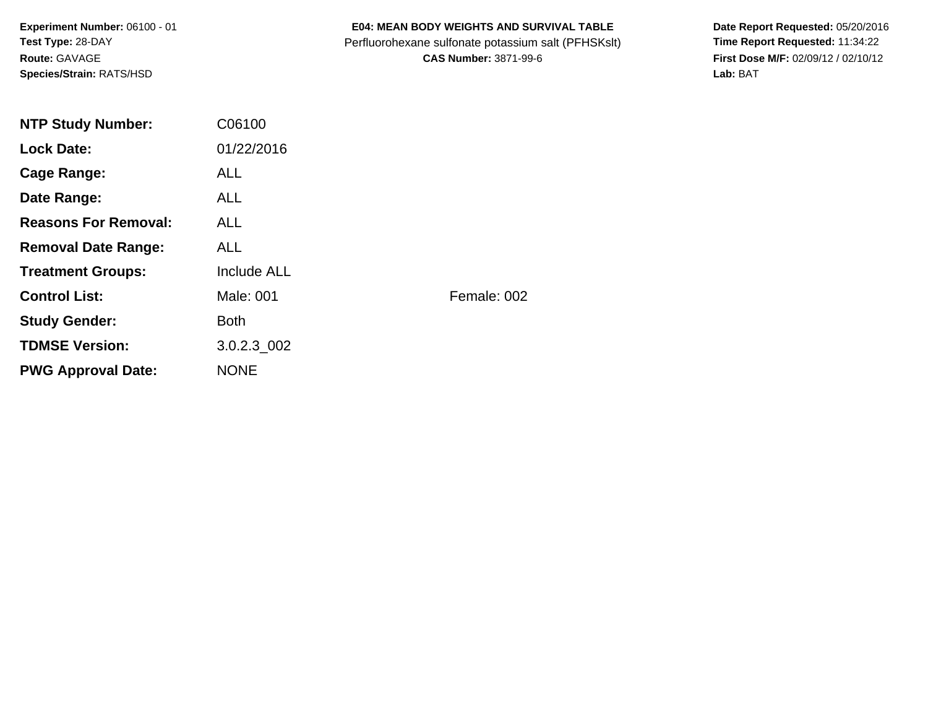**Experiment Number:** 06100 - 01**Test Type:** 28-DAY**Route:** GAVAGE**Species/Strain:** RATS/HSD

### **E04: MEAN BODY WEIGHTS AND SURVIVAL TABLE**

Perfluorohexane sulfonate potassium salt (PFHSKslt)<br>**CAS Number:** 3871-99-6

Date Report Requested: 05/20/2016<br>Time Report Requested: 11:34:22 **First Dose M/F:** 02/09/12 / 02/10/12<br>Lab: BAT **Lab:** BAT

| <b>NTP Study Number:</b>    | C06100             |             |
|-----------------------------|--------------------|-------------|
| <b>Lock Date:</b>           | 01/22/2016         |             |
| Cage Range:                 | <b>ALL</b>         |             |
| Date Range:                 | ALL.               |             |
| <b>Reasons For Removal:</b> | ALL.               |             |
| <b>Removal Date Range:</b>  | <b>ALL</b>         |             |
| <b>Treatment Groups:</b>    | <b>Include ALL</b> |             |
| <b>Control List:</b>        | Male: 001          | Female: 002 |
| <b>Study Gender:</b>        | <b>Both</b>        |             |
| <b>TDMSE Version:</b>       | 3.0.2.3 002        |             |
| <b>PWG Approval Date:</b>   | <b>NONE</b>        |             |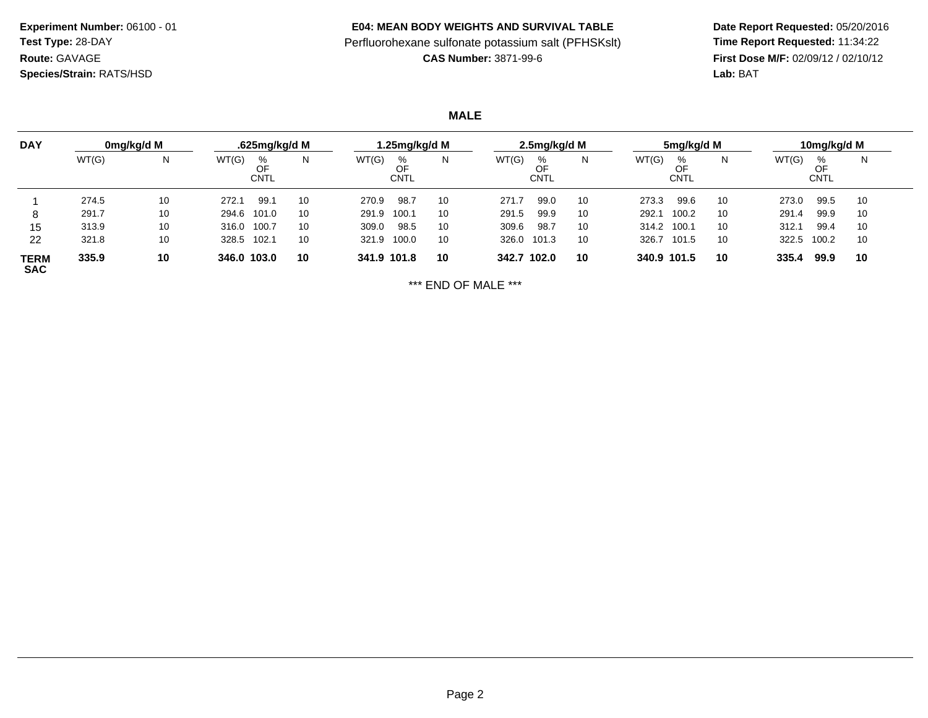**Experiment Number:** 06100 - 01**Test Type:** 28-DAY**Route:** GAVAGE**Species/Strain:** RATS/HSD

#### **E04: MEAN BODY WEIGHTS AND SURVIVAL TABLE**

# Perfluorohexane sulfonate potassium salt (PFHSKslt)<br>**CAS Number:** 3871-99-6

 **Date Report Requested:** 05/20/2016 **First Dose M/F:** 02/09/12 / 02/10/12<br>Lab: BAT **Lab:** BAT

## **MALE**

| <b>DAY</b>                |       | 0mg/kg/d M |             | .625mg/kg/d M          |    | l.25mg/kg/d M |                 |    |       | 2.5mg/kg/d M           |    |             | 5mg/kg/d M      |    |       | 10mg/kg/d M     |    |  |
|---------------------------|-------|------------|-------------|------------------------|----|---------------|-----------------|----|-------|------------------------|----|-------------|-----------------|----|-------|-----------------|----|--|
|                           | WT(G) | N          | WT(G)       | %<br>OF<br><b>CNTL</b> | N  | WT(G)         | %<br>OF<br>CNTL | N  | WT(G) | %<br>OF<br><b>CNTL</b> | N  | WT(G)       | %<br>OF<br>CNTL |    | WT(G) | %<br>ОF<br>CNTL | N  |  |
|                           | 274.5 | 10         | 272.1       | 99.7                   | 10 | 270.9         | 98.7            | 10 | 271.7 | 99.0                   | 10 | 273.3       | 99.6            | 10 | 273.0 | 99.5            | 10 |  |
|                           | 291.7 | 10         | 294.6       | 101.0                  | 10 | 291.9         | 100.1           | 10 | 291.5 | 99.9                   | 10 | 292.1       | 100.2           | 10 | 291.4 | 99.9            | 10 |  |
| 15                        | 313.9 | 10         | 316.0       | 100.7                  | 10 | 309.0         | 98.5            | 10 | 309.6 | 98.7                   | 10 | 314.2       | 100.1           | 10 | 312.1 | 99.4            | 10 |  |
| 22                        | 321.8 | 10         | 328.5       | 102.1                  | 10 | 321.9         | 100.0           | 10 | 326.0 | 101.3                  | 10 | 326.7       | 101.5           | 10 | 322.5 | 100.2           | 10 |  |
| <b>TERM</b><br><b>SAC</b> | 335.9 | 10         | 346.0 103.0 |                        | 10 | 341.9 101.8   |                 | 10 | 342.7 | 102.0                  | 10 | 340.9 101.5 |                 | 10 | 335.4 | 99.9            | 10 |  |

\*\*\* END OF MALE \*\*\*